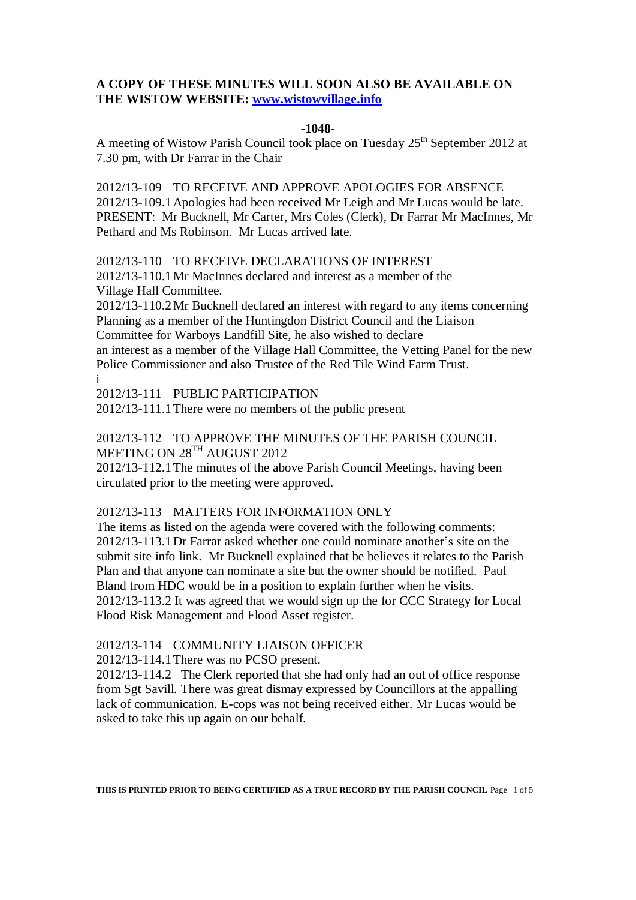# **A COPY OF THESE MINUTES WILL SOON ALSO BE AVAILABLE ON THE WISTOW WEBSITE: [www.wistowvillage.info](http://www.wistowvillage.info/)**

#### **-1048-**

A meeting of Wistow Parish Council took place on Tuesday 25<sup>th</sup> September 2012 at 7.30 pm, with Dr Farrar in the Chair

2012/13-109 TO RECEIVE AND APPROVE APOLOGIES FOR ABSENCE 2012/13-109.1Apologies had been received Mr Leigh and Mr Lucas would be late. PRESENT: Mr Bucknell, Mr Carter, Mrs Coles (Clerk), Dr Farrar Mr MacInnes, Mr Pethard and Ms Robinson. Mr Lucas arrived late.

2012/13-110 TO RECEIVE DECLARATIONS OF INTEREST 2012/13-110.1Mr MacInnes declared and interest as a member of the Village Hall Committee.

2012/13-110.2Mr Bucknell declared an interest with regard to any items concerning Planning as a member of the Huntingdon District Council and the Liaison Committee for Warboys Landfill Site, he also wished to declare an interest as a member of the Village Hall Committee, the Vetting Panel for the new Police Commissioner and also Trustee of the Red Tile Wind Farm Trust. i

2012/13-111 PUBLIC PARTICIPATION

2012/13-111.1There were no members of the public present

2012/13-112 TO APPROVE THE MINUTES OF THE PARISH COUNCIL MEETING ON 28<sup>TH</sup> AUGUST 2012

2012/13-112.1The minutes of the above Parish Council Meetings, having been circulated prior to the meeting were approved.

#### 2012/13-113 MATTERS FOR INFORMATION ONLY

The items as listed on the agenda were covered with the following comments: 2012/13-113.1Dr Farrar asked whether one could nominate another's site on the submit site info link. Mr Bucknell explained that be believes it relates to the Parish Plan and that anyone can nominate a site but the owner should be notified. Paul Bland from HDC would be in a position to explain further when he visits. 2012/13-113.2 It was agreed that we would sign up the for CCC Strategy for Local Flood Risk Management and Flood Asset register.

# 2012/13-114 COMMUNITY LIAISON OFFICER

2012/13-114.1There was no PCSO present.

2012/13-114.2 The Clerk reported that she had only had an out of office response from Sgt Savill. There was great dismay expressed by Councillors at the appalling lack of communication. E-cops was not being received either. Mr Lucas would be asked to take this up again on our behalf.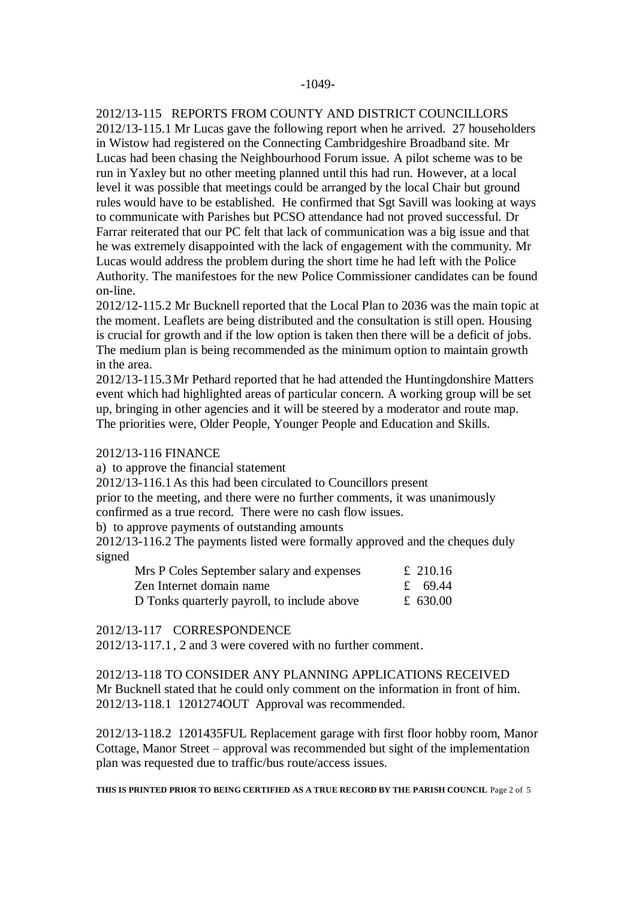## 2012/13-115 REPORTS FROM COUNTY AND DISTRICT COUNCILLORS

2012/13-115.1 Mr Lucas gave the following report when he arrived. 27 householders in Wistow had registered on the Connecting Cambridgeshire Broadband site. Mr Lucas had been chasing the Neighbourhood Forum issue. A pilot scheme was to be run in Yaxley but no other meeting planned until this had run. However, at a local level it was possible that meetings could be arranged by the local Chair but ground rules would have to be established. He confirmed that Sgt Savill was looking at ways to communicate with Parishes but PCSO attendance had not proved successful. Dr Farrar reiterated that our PC felt that lack of communication was a big issue and that he was extremely disappointed with the lack of engagement with the community. Mr Lucas would address the problem during the short time he had left with the Police Authority. The manifestoes for the new Police Commissioner candidates can be found on-line.

2012/12-115.2 Mr Bucknell reported that the Local Plan to 2036 was the main topic at the moment. Leaflets are being distributed and the consultation is still open. Housing is crucial for growth and if the low option is taken then there will be a deficit of jobs. The medium plan is being recommended as the minimum option to maintain growth in the area.

2012/13-115.3Mr Pethard reported that he had attended the Huntingdonshire Matters event which had highlighted areas of particular concern. A working group will be set up, bringing in other agencies and it will be steered by a moderator and route map. The priorities were, Older People, Younger People and Education and Skills.

#### 2012/13-116 FINANCE

a) to approve the financial statement

2012/13-116.1As this had been circulated to Councillors present

prior to the meeting, and there were no further comments, it was unanimously confirmed as a true record. There were no cash flow issues.

b) to approve payments of outstanding amounts

2012/13-116.2 The payments listed were formally approved and the cheques duly signed

| Mrs P Coles September salary and expenses   | £ 210.16 |
|---------------------------------------------|----------|
| Zen Internet domain name                    | £ 69.44  |
| D Tonks quarterly payroll, to include above | £ 630.00 |

#### 2012/13-117 CORRESPONDENCE

2012/13-117.1, 2 and 3 were covered with no further comment.

2012/13-118 TO CONSIDER ANY PLANNING APPLICATIONS RECEIVED Mr Bucknell stated that he could only comment on the information in front of him. 2012/13-118.1 1201274OUT Approval was recommended.

2012/13-118.2 1201435FUL Replacement garage with first floor hobby room, Manor Cottage, Manor Street – approval was recommended but sight of the implementation plan was requested due to traffic/bus route/access issues.

**THIS IS PRINTED PRIOR TO BEING CERTIFIED AS A TRUE RECORD BY THE PARISH COUNCIL** Page 2 of 5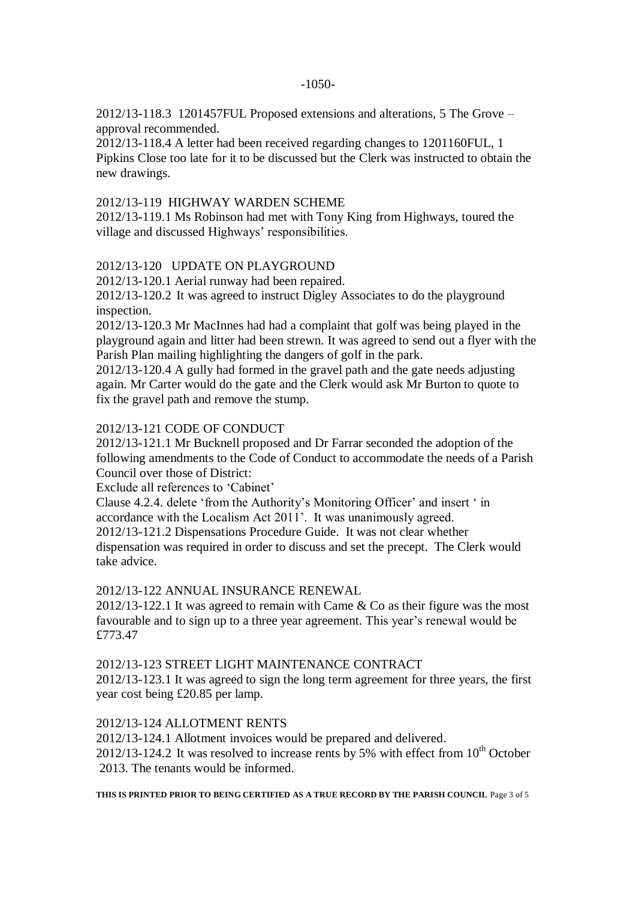2012/13-118.3 1201457FUL Proposed extensions and alterations, 5 The Grove – approval recommended.

2012/13-118.4 A letter had been received regarding changes to 1201160FUL, 1 Pipkins Close too late for it to be discussed but the Clerk was instructed to obtain the new drawings.

## 2012/13-119 HIGHWAY WARDEN SCHEME

2012/13-119.1 Ms Robinson had met with Tony King from Highways, toured the village and discussed Highways' responsibilities.

# 2012/13-120 UPDATE ON PLAYGROUND

2012/13-120.1 Aerial runway had been repaired.

2012/13-120.2 It was agreed to instruct Digley Associates to do the playground inspection.

2012/13-120.3 Mr MacInnes had had a complaint that golf was being played in the playground again and litter had been strewn. It was agreed to send out a flyer with the Parish Plan mailing highlighting the dangers of golf in the park.

2012/13-120.4 A gully had formed in the gravel path and the gate needs adjusting again. Mr Carter would do the gate and the Clerk would ask Mr Burton to quote to fix the gravel path and remove the stump.

# 2012/13-121 CODE OF CONDUCT

2012/13-121.1 Mr Bucknell proposed and Dr Farrar seconded the adoption of the following amendments to the Code of Conduct to accommodate the needs of a Parish Council over those of District:

Exclude all references to 'Cabinet'

Clause 4.2.4. delete 'from the Authority's Monitoring Officer' and insert ' in accordance with the Localism Act 2011'. It was unanimously agreed.

2012/13-121.2 Dispensations Procedure Guide. It was not clear whether dispensation was required in order to discuss and set the precept. The Clerk would take advice.

## 2012/13-122 ANNUAL INSURANCE RENEWAL

2012/13-122.1 It was agreed to remain with Came & Co as their figure was the most favourable and to sign up to a three year agreement. This year's renewal would be £773.47

## 2012/13-123 STREET LIGHT MAINTENANCE CONTRACT

2012/13-123.1 It was agreed to sign the long term agreement for three years, the first year cost being £20.85 per lamp.

## 2012/13-124 ALLOTMENT RENTS

2012/13-124.1 Allotment invoices would be prepared and delivered. 2012/13-124.2 It was resolved to increase rents by 5% with effect from  $10^{th}$  October 2013. The tenants would be informed.

**THIS IS PRINTED PRIOR TO BEING CERTIFIED AS A TRUE RECORD BY THE PARISH COUNCIL** Page 3 of 5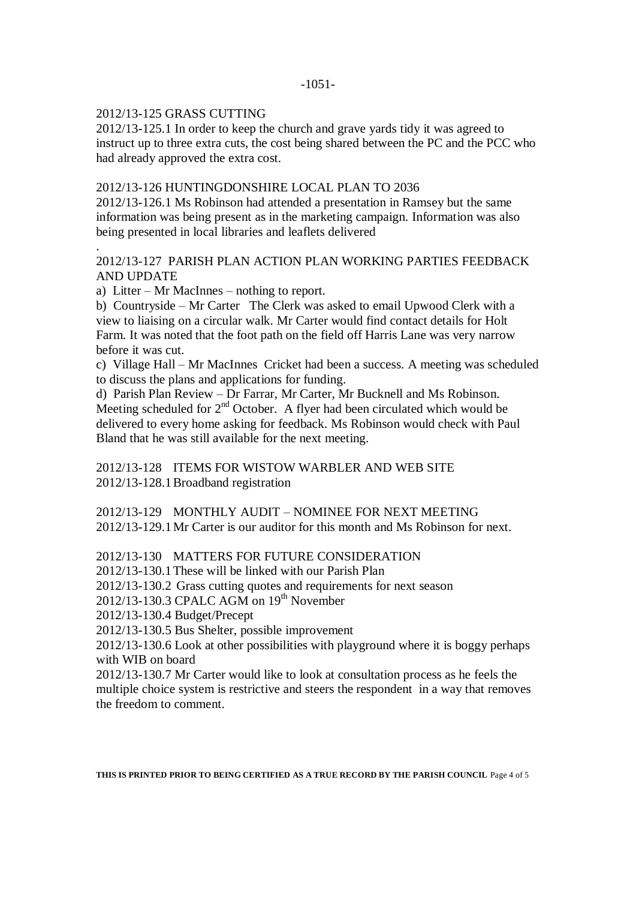## 2012/13-125 GRASS CUTTING

2012/13-125.1 In order to keep the church and grave yards tidy it was agreed to instruct up to three extra cuts, the cost being shared between the PC and the PCC who had already approved the extra cost.

## 2012/13-126 HUNTINGDONSHIRE LOCAL PLAN TO 2036

2012/13-126.1 Ms Robinson had attended a presentation in Ramsey but the same information was being present as in the marketing campaign. Information was also being presented in local libraries and leaflets delivered

#### . 2012/13-127 PARISH PLAN ACTION PLAN WORKING PARTIES FEEDBACK AND UPDATE

a) Litter – Mr MacInnes – nothing to report.

b) Countryside – Mr Carter The Clerk was asked to email Upwood Clerk with a view to liaising on a circular walk. Mr Carter would find contact details for Holt Farm. It was noted that the foot path on the field off Harris Lane was very narrow before it was cut.

c) Village Hall – Mr MacInnes Cricket had been a success. A meeting was scheduled to discuss the plans and applications for funding.

d) Parish Plan Review – Dr Farrar, Mr Carter, Mr Bucknell and Ms Robinson. Meeting scheduled for  $2<sup>nd</sup>$  October. A flyer had been circulated which would be delivered to every home asking for feedback. Ms Robinson would check with Paul Bland that he was still available for the next meeting.

2012/13-128 ITEMS FOR WISTOW WARBLER AND WEB SITE 2012/13-128.1Broadband registration

2012/13-129 MONTHLY AUDIT – NOMINEE FOR NEXT MEETING 2012/13-129.1Mr Carter is our auditor for this month and Ms Robinson for next.

# 2012/13-130 MATTERS FOR FUTURE CONSIDERATION

2012/13-130.1These will be linked with our Parish Plan

2012/13-130.2 Grass cutting quotes and requirements for next season

2012/13-130.3 CPALC AGM on 19<sup>th</sup> November

2012/13-130.4 Budget/Precept

2012/13-130.5 Bus Shelter, possible improvement

2012/13-130.6 Look at other possibilities with playground where it is boggy perhaps with WIB on board

2012/13-130.7 Mr Carter would like to look at consultation process as he feels the multiple choice system is restrictive and steers the respondent in a way that removes the freedom to comment.